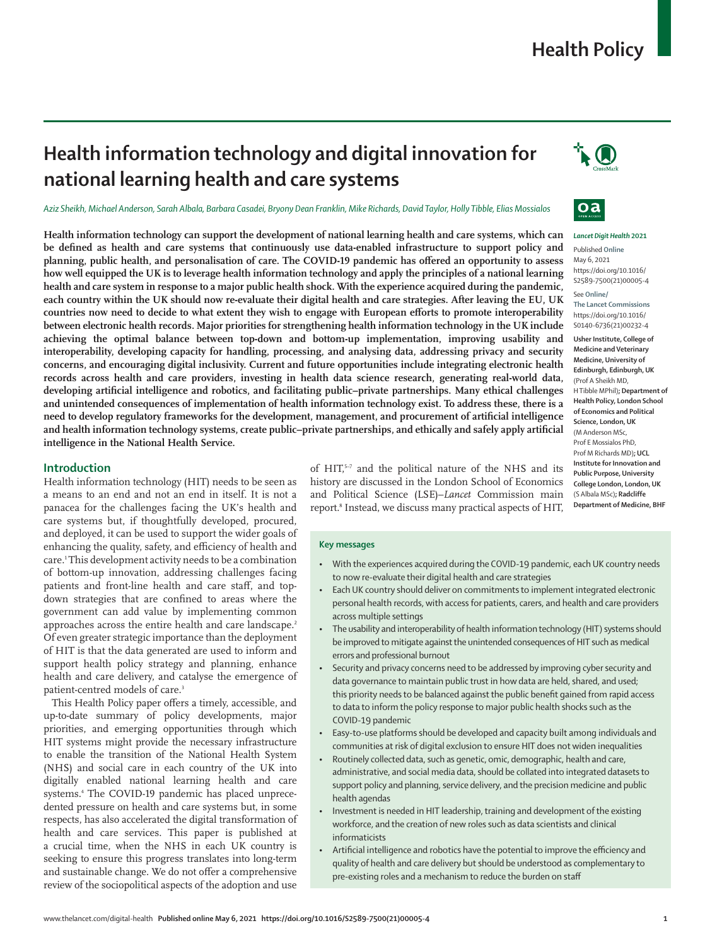# **Health Policy**

# **Health information technology and digital innovation for national learning health and care systems**

*Aziz Sheikh, Michael Anderson, Sarah Albala, Barbara Casadei, Bryony Dean Franklin, Mike Richards, David Taylor, Holly Tibble, Elias Mossialos*

**Health information technology can support the development of national learning health and care systems, which can be defined as health and care systems that continuously use data-enabled infrastructure to support policy and planning, public health, and personalisation of care. The COVID-19 pandemic has offered an opportunity to assess how well equipped the UK is to leverage health information technology and apply the principles of a national learning health and care system in response to a major public health shock. With the experience acquired during the pandemic, each country within the UK should now re-evaluate their digital health and care strategies. After leaving the EU, UK countries now need to decide to what extent they wish to engage with European efforts to promote interoperability between electronic health records. Major priorities for strengthening health information technology in the UK include achieving the optimal balance between top-down and bottom-up implementation, improving usability and interoperability, developing capacity for handling, processing, and analysing data, addressing privacy and security concerns, and encouraging digital inclusivity. Current and future opportunities include integrating electronic health records across health and care providers, investing in health data science research, generating real-world data, developing artificial intelligence and robotics, and facilitating public–private partnerships. Many ethical challenges and unintended consequences of implementation of health information technology exist. To address these, there is a need to develop regulatory frameworks for the development, management, and procurement of artificial intelligence and health information technology systems, create public–private partnerships, and ethically and safely apply artificial intelligence in the National Health Service.**

## **Introduction**

Health information technology (HIT) needs to be seen as a means to an end and not an end in itself. It is not a panacea for the challenges facing the UK's health and care systems but, if thoughtfully developed, procured, and deployed, it can be used to support the wider goals of enhancing the quality, safety, and efficiency of health and care.1 This development activity needs to be a combination of bottom-up innovation, addressing challenges facing patients and front-line health and care staff, and topdown strategies that are confined to areas where the government can add value by implementing common approaches across the entire health and care landscape.<sup>2</sup> Of even greater strategic importance than the deployment of HIT is that the data generated are used to inform and support health policy strategy and planning, enhance health and care delivery, and catalyse the emergence of patient-centred models of care.<sup>3</sup>

This Health Policy paper offers a timely, accessible, and up-to-date summary of policy developments, major priorities, and emerging opportunities through which HIT systems might provide the necessary infrastructure to enable the transition of the National Health System (NHS) and social care in each country of the UK into digitally enabled national learning health and care systems.4 The COVID-19 pandemic has placed unprecedented pressure on health and care systems but, in some respects, has also accelerated the digital transformation of health and care services. This paper is published at a crucial time, when the NHS in each UK country is seeking to ensure this progress translates into long-term and sustainable change. We do not offer a comprehensive review of the sociopolitical aspects of the adoption and use



#### **Key messages**

- With the experiences acquired during the COVID-19 pandemic, each UK country needs to now re-evaluate their digital health and care strategies
- Each UK country should deliver on commitments to implement integrated electronic personal health records, with access for patients, carers, and health and care providers across multiple settings
- The usability and interoperability of health information technology (HIT) systems should be improved to mitigate against the unintended consequences of HIT such as medical errors and professional burnout
- Security and privacy concerns need to be addressed by improving cyber security and data governance to maintain public trust in how data are held, shared, and used; this priority needs to be balanced against the public benefit gained from rapid access to data to inform the policy response to major public health shocks such as the COVID-19 pandemic
- Easy-to-use platforms should be developed and capacity built among individuals and communities at risk of digital exclusion to ensure HIT does not widen inequalities
- Routinely collected data, such as genetic, omic, demographic, health and care, administrative, and social media data, should be collated into integrated datasets to support policy and planning, service delivery, and the precision medicine and public health agendas
- Investment is needed in HIT leadership, training and development of the existing workforce, and the creation of new roles such as data scientists and clinical informaticists
- Artificial intelligence and robotics have the potential to improve the efficiency and quality of health and care delivery but should be understood as complementary to pre-existing roles and a mechanism to reduce the burden on staff





#### *Lancet Digit Health* **2021**

Published **Online** May 6, 2021 https://doi.org/10.1016/ S2589-7500(21)00005-4 See **Online/ The Lancet Commissions** https://doi.org/10.1016/ S0140-6736(21)00232-4

**Usher Institute, College of Medicine and Veterinary Medicine, University of Edinburgh, Edinburgh, UK** (Prof A Sheikh MD, H Tibble MPhil)**; Department of Health Policy, London School of Economics and Political Science, London, UK** (M Anderson MSc, Prof E Mossialos PhD, Prof M Richards MD)**; UCL Institute for Innovation and Public Purpose, University College London, London, UK** (S Albala MSc)**; Radcliffe Department of Medicine, BHF**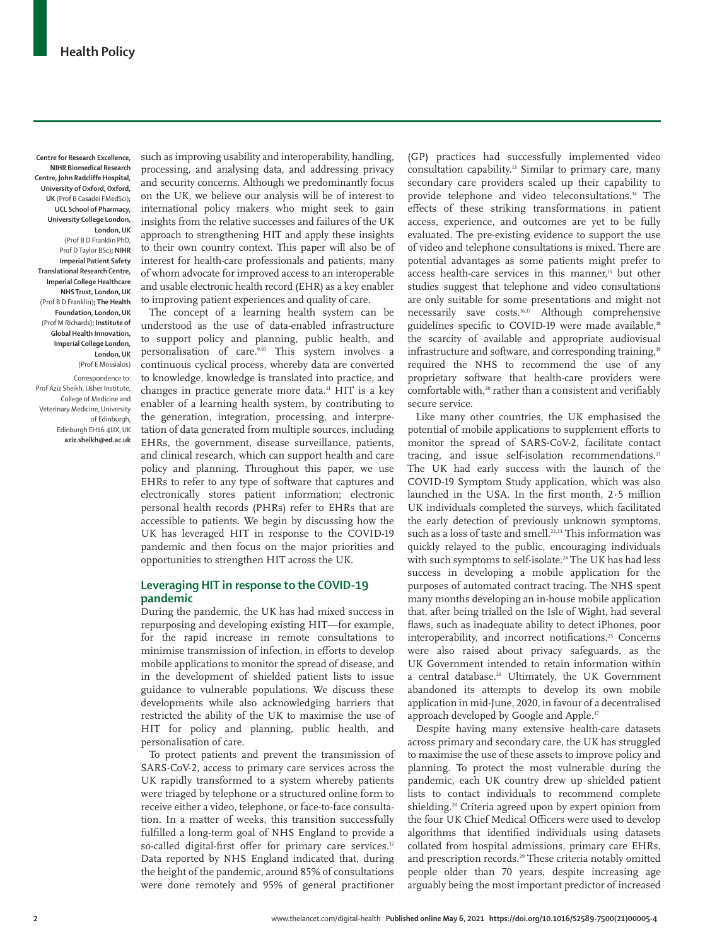**Centre for Research Excellence, NIHR Biomedical Research Centre, John Radcliffe Hospital, University of Oxford, Oxford, UK** (Prof B Casadei FMedSci)**; UCL School of Pharmacy, University College London, London, UK**  (Prof B D Franklin PhD, Prof D Taylor BSc)**; NIHR Imperial Patient Safety Translational Research Centre, Imperial College Healthcare NHS Trust, London, UK** (Prof B D Franklin)**; The Health Foundation, London, UK** (Prof M Richards)**; Institute of Global Health Innovation, Imperial College London, London, UK** (Prof E Mossialos)

Correspondence to: Prof Aziz Sheikh, Usher Institute, College of Medicine and Veterinary Medicine, University of Edinburgh, Edinburgh EH16 4UX, UK **aziz.sheikh@ed.ac.uk**

such as improving usability and interoperability, handling, processing, and analysing data, and addressing privacy and security concerns. Although we predominantly focus on the UK, we believe our analysis will be of interest to international policy makers who might seek to gain insights from the relative successes and failures of the UK approach to strengthening HIT and apply these insights to their own country context. This paper will also be of interest for health-care professionals and patients, many of whom advocate for improved access to an interoperable and usable electronic health record (EHR) as a key enabler to improving patient experiences and quality of care.

The concept of a learning health system can be understood as the use of data-enabled infrastructure to support policy and planning, public health, and personalisation of care.<sup>9,10</sup> This system involves a continuous cyclical process, whereby data are converted to knowledge, knowledge is translated into practice, and changes in practice generate more data.<sup>11</sup> HIT is a key enabler of a learning health system, by contributing to the generation, integration, processing, and interpretation of data generated from multiple sources, including EHRs, the government, disease surveillance, patients, and clinical research, which can support health and care policy and planning. Throughout this paper, we use EHRs to refer to any type of software that captures and electronically stores patient information; electronic personal health records (PHRs) refer to EHRs that are accessible to patients. We begin by discussing how the UK has leveraged HIT in response to the COVID-19 pandemic and then focus on the major priorities and opportunities to strengthen HIT across the UK.

## **Leveraging HIT in response to the COVID-19 pandemic**

During the pandemic, the UK has had mixed success in repurposing and developing existing HIT—for example, for the rapid increase in remote consultations to minimise transmission of infection, in efforts to develop mobile applications to monitor the spread of disease, and in the development of shielded patient lists to issue guidance to vulnerable populations. We discuss these developments while also acknowledging barriers that restricted the ability of the UK to maximise the use of HIT for policy and planning, public health, and personalisation of care.

To protect patients and prevent the transmission of SARS-CoV-2, access to primary care services across the UK rapidly transformed to a system whereby patients were triaged by telephone or a structured online form to receive either a video, telephone, or face-to-face consultation. In a matter of weeks, this transition successfully fulfilled a long-term goal of NHS England to provide a so-called digital-first offer for primary care services.<sup>12</sup> Data reported by NHS England indicated that, during the height of the pandemic, around 85% of consultations were done remotely and 95% of general practitioner

(GP) practices had successfully implemented video consultation capability.13 Similar to primary care, many secondary care providers scaled up their capability to provide telephone and video teleconsultations.<sup>14</sup> The effects of these striking transformations in patient access, experience, and outcomes are yet to be fully evaluated. The pre-existing evidence to support the use of video and telephone consultations is mixed. There are potential advantages as some patients might prefer to access health-care services in this manner,<sup>15</sup> but other studies suggest that telephone and video consultations are only suitable for some presentations and might not necessarily save costs.16,17 Although comprehensive guidelines specific to COVID-19 were made available,<sup>18</sup> the scarcity of available and appropriate audiovisual infrastructure and software, and corresponding training,<sup>19</sup> required the NHS to recommend the use of any proprietary software that health-care providers were comfortable with,<sup>20</sup> rather than a consistent and verifiably secure service.

Like many other countries, the UK emphasised the potential of mobile applications to supplement efforts to monitor the spread of SARS-CoV-2, facilitate contact tracing, and issue self-isolation recommendations.<sup>21</sup> The UK had early success with the launch of the COVID-19 Symptom Study application, which was also launched in the USA. In the first month, 2·5 million UK individuals completed the surveys, which facilitated the early detection of previously unknown symptoms, such as a loss of taste and smell.<sup>22,23</sup> This information was quickly relayed to the public, encouraging individuals with such symptoms to self-isolate.<sup>24</sup> The UK has had less success in developing a mobile application for the purposes of automated contract tracing. The NHS spent many months developing an in-house mobile application that, after being trialled on the Isle of Wight, had several flaws, such as inadequate ability to detect iPhones, poor interoperability, and incorrect notifications.<sup>25</sup> Concerns were also raised about privacy safeguards, as the UK Government intended to retain information within a central database.<sup>26</sup> Ultimately, the UK Government abandoned its attempts to develop its own mobile application in mid-June, 2020, in favour of a decentralised approach developed by Google and Apple.<sup>27</sup>

Despite having many extensive health-care datasets across primary and secondary care, the UK has struggled to maximise the use of these assets to improve policy and planning. To protect the most vulnerable during the pandemic, each UK country drew up shielded patient lists to contact individuals to recommend complete shielding.<sup>28</sup> Criteria agreed upon by expert opinion from the four UK Chief Medical Officers were used to develop algorithms that identified individuals using datasets collated from hospital admissions, primary care EHRs, and prescription records.29 These criteria notably omitted people older than 70 years, despite increasing age arguably being the most important predictor of increased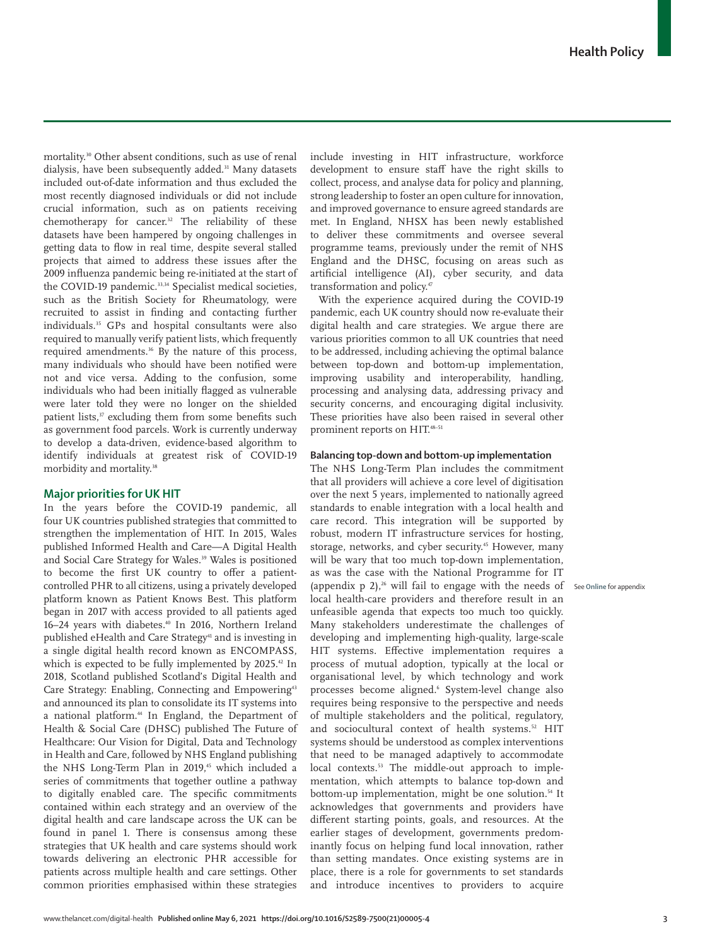mortality.30 Other absent conditions, such as use of renal dialysis, have been subsequently added.<sup>31</sup> Many datasets included out-of-date information and thus excluded the most recently diagnosed individuals or did not include crucial information, such as on patients receiving chemotherapy for cancer.<sup>32</sup> The reliability of these datasets have been hampered by ongoing challenges in getting data to flow in real time, despite several stalled projects that aimed to address these issues after the 2009 influenza pandemic being re-initiated at the start of the COVID-19 pandemic.<sup>33,34</sup> Specialist medical societies, such as the British Society for Rheumatology, were recruited to assist in finding and contacting further individuals.<sup>35</sup> GPs and hospital consultants were also required to manually verify patient lists, which frequently required amendments.<sup>36</sup> By the nature of this process, many individuals who should have been notified were not and vice versa. Adding to the confusion, some individuals who had been initially flagged as vulnerable were later told they were no longer on the shielded patient lists,<sup>37</sup> excluding them from some benefits such as government food parcels. Work is currently underway to develop a data-driven, evidence-based algorithm to identify individuals at greatest risk of COVID-19 morbidity and mortality.38

# **Major priorities for UK HIT**

In the years before the COVID-19 pandemic, all four UK countries published strategies that committed to strengthen the implementation of HIT. In 2015, Wales published Informed Health and Care—A Digital Health and Social Care Strategy for Wales*.* 39 Wales is positioned to become the first UK country to offer a patientcontrolled PHR to all citizens, using a privately developed platform known as Patient Knows Best. This platform began in 2017 with access provided to all patients aged 16–24 years with diabetes.<sup>40</sup> In 2016, Northern Ireland published eHealth and Care Strategy<sup>41</sup> and is investing in a single digital health record known as ENCOMPASS, which is expected to be fully implemented by 2025.<sup>42</sup> In 2018, Scotland published Scotland's Digital Health and Care Strategy: Enabling, Connecting and Empowering<sup>43</sup> and announced its plan to consolidate its IT systems into a national platform.<sup>44</sup> In England, the Department of Health & Social Care (DHSC) published The Future of Healthcare: Our Vision for Digital, Data and Technology in Health and Care, followed by NHS England publishing the NHS Long-Term Plan in 2019,<sup>45</sup> which included a series of commitments that together outline a pathway to digitally enabled care. The specific commitments contained within each strategy and an overview of the digital health and care landscape across the UK can be found in panel 1. There is consensus among these strategies that UK health and care systems should work towards delivering an electronic PHR accessible for patients across multiple health and care settings. Other common priorities emphasised within these strategies

include investing in HIT infrastructure, workforce development to ensure staff have the right skills to collect, process, and analyse data for policy and planning, strong leadership to foster an open culture for innovation, and improved governance to ensure agreed standards are met. In England, NHSX has been newly established to deliver these commitments and oversee several programme teams, previously under the remit of NHS England and the DHSC, focusing on areas such as artificial intelligence (AI), cyber security, and data transformation and policy.<sup>47</sup>

With the experience acquired during the COVID-19 pandemic, each UK country should now re-evaluate their digital health and care strategies. We argue there are various priorities common to all UK countries that need to be addressed, including achieving the optimal balance between top-down and bottom-up implementation, improving usability and interoperability, handling, processing and analysing data, addressing privacy and security concerns, and encouraging digital inclusivity. These priorities have also been raised in several other prominent reports on HIT.48–51

## **Balancing top-down and bottom-up implementation**

The NHS Long-Term Plan includes the commitment that all providers will achieve a core level of digitisation over the next 5 years, implemented to nationally agreed standards to enable integration with a local health and care record. This integration will be supported by robust, modern IT infrastructure services for hosting, storage, networks, and cyber security.<sup>45</sup> However, many will be wary that too much top-down implementation, as was the case with the National Programme for IT (appendix p 2),<sup>26</sup> will fail to engage with the needs of See Online for appendix local health-care providers and therefore result in an unfeasible agenda that expects too much too quickly. Many stakeholders underestimate the challenges of developing and implementing high-quality, large-scale HIT systems. Effective implementation requires a process of mutual adoption, typically at the local or organisational level, by which technology and work processes become aligned.6 System-level change also requires being responsive to the perspective and needs of multiple stakeholders and the political, regulatory, and sociocultural context of health systems.<sup>52</sup> HIT systems should be understood as complex interventions that need to be managed adaptively to accommodate local contexts.<sup>53</sup> The middle-out approach to implementation, which attempts to balance top-down and bottom-up implementation, might be one solution.<sup>54</sup> It acknowledges that governments and providers have different starting points, goals, and resources. At the earlier stages of development, governments predominantly focus on helping fund local innovation, rather than setting mandates. Once existing systems are in place, there is a role for governments to set standards and introduce incentives to providers to acquire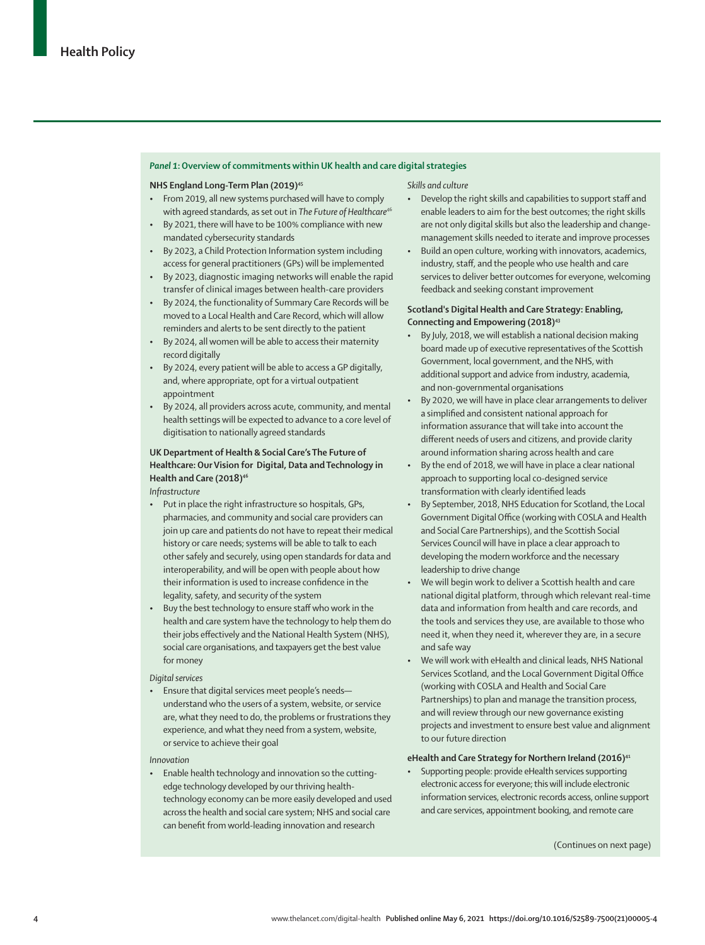#### *Panel 1***: Overview of commitments within UK health and care digital strategies**

#### **NHS England Long-Term Plan (2019)**<sup>45</sup>

- From 2019, all new systems purchased will have to comply with agreed standards, as set out in *The Future of Healthcare*<sup>46</sup>
- By 2021, there will have to be 100% compliance with new mandated cybersecurity standards
- By 2023, a Child Protection Information system including access for general practitioners (GPs) will be implemented
- By 2023, diagnostic imaging networks will enable the rapid transfer of clinical images between health-care providers
- By 2024, the functionality of Summary Care Records will be moved to a Local Health and Care Record, which will allow reminders and alerts to be sent directly to the patient
- By 2024, all women will be able to access their maternity record digitally
- By 2024, every patient will be able to access a GP digitally, and, where appropriate, opt for a virtual outpatient appointment
- By 2024, all providers across acute, community, and mental health settings will be expected to advance to a core level of digitisation to nationally agreed standards

# **UK Department of Health & Social Care's The Future of Healthcare: Our Vision for Digital, Data and Technology in Health and Care (2018)46**

*Infrastructure*

- Put in place the right infrastructure so hospitals, GPs, pharmacies, and community and social care providers can join up care and patients do not have to repeat their medical history or care needs; systems will be able to talk to each other safely and securely, using open standards for data and interoperability, and will be open with people about how their information is used to increase confidence in the legality, safety, and security of the system
- Buy the best technology to ensure staff who work in the health and care system have the technology to help them do their jobs effectively and the National Health System (NHS), social care organisations, and taxpayers get the best value for money

*Digital services*

• Ensure that digital services meet people's needs understand who the users of a system, website, or service are, what they need to do, the problems or frustrations they experience, and what they need from a system, website, or service to achieve their goal

*Innovation*

• Enable health technology and innovation so the cuttingedge technology developed by our thriving healthtechnology economy can be more easily developed and used across the health and social care system; NHS and social care can benefit from world-leading innovation and research

*Skills and culture*

- Develop the right skills and capabilities to support staff and enable leaders to aim for the best outcomes; the right skills are not only digital skills but also the leadership and changemanagement skills needed to iterate and improve processes
- Build an open culture, working with innovators, academics, industry, staff, and the people who use health and care services to deliver better outcomes for everyone, welcoming feedback and seeking constant improvement

## **Scotland's Digital Health and Care Strategy: Enabling, Connecting and Empowering (2018)43**

- By July, 2018, we will establish a national decision making board made up of executive representatives of the Scottish Government, local government, and the NHS, with additional support and advice from industry, academia, and non-governmental organisations
- By 2020, we will have in place clear arrangements to deliver a simplified and consistent national approach for information assurance that will take into account the different needs of users and citizens, and provide clarity around information sharing across health and care
- By the end of 2018, we will have in place a clear national approach to supporting local co-designed service transformation with clearly identified leads
- By September, 2018, NHS Education for Scotland, the Local Government Digital Office (working with COSLA and Health and Social Care Partnerships), and the Scottish Social Services Council will have in place a clear approach to developing the modern workforce and the necessary leadership to drive change
- We will begin work to deliver a Scottish health and care national digital platform, through which relevant real-time data and information from health and care records, and the tools and services they use, are available to those who need it, when they need it, wherever they are, in a secure and safe way
- We will work with eHealth and clinical leads, NHS National Services Scotland, and the Local Government Digital Office (working with COSLA and Health and Social Care Partnerships) to plan and manage the transition process, and will review through our new governance existing projects and investment to ensure best value and alignment to our future direction

#### eHealth and Care Strategy for Northern Ireland (2016)<sup>41</sup>

• Supporting people: provide eHealth services supporting electronic access for everyone; this will include electronic information services, electronic records access, online support and care services, appointment booking, and remote care

(Continues on next page)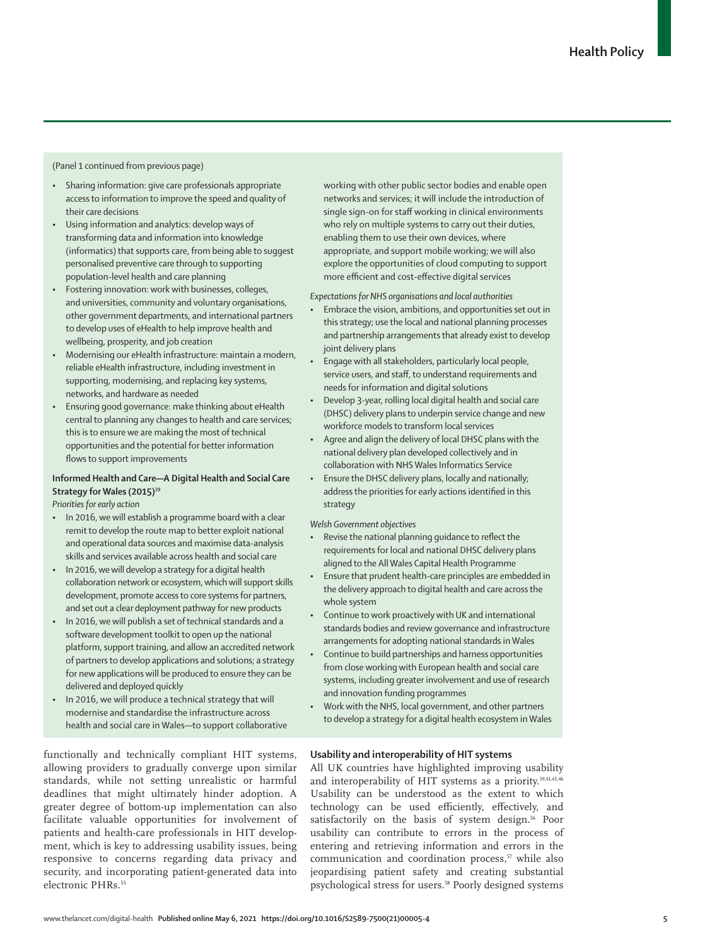## (Panel 1 continued from previous page)

- Sharing information: give care professionals appropriate access to information to improve the speed and quality of their care decisions
- Using information and analytics: develop ways of transforming data and information into knowledge (informatics) that supports care, from being able to suggest personalised preventive care through to supporting population-level health and care planning
- Fostering innovation: work with businesses, colleges, and universities, community and voluntary organisations, other government departments, and international partners to develop uses of eHealth to help improve health and wellbeing, prosperity, and job creation
- Modernising our eHealth infrastructure: maintain a modern, reliable eHealth infrastructure, including investment in supporting, modernising, and replacing key systems, networks, and hardware as needed
- Ensuring good governance: make thinking about eHealth central to planning any changes to health and care services; this is to ensure we are making the most of technical opportunities and the potential for better information flows to support improvements

# **Informed Health and Care—A Digital Health and Social Care**  Strategy for Wales (2015)<sup>39</sup>

*Priorities for early action*

- In 2016, we will establish a programme board with a clear remit to develop the route map to better exploit national and operational data sources and maximise data-analysis skills and services available across health and social care
- In 2016, we will develop a strategy for a digital health collaboration network or ecosystem, which will support skills development, promote access to core systems for partners, and set out a clear deployment pathway for new products
- In 2016, we will publish a set of technical standards and a software development toolkit to open up the national platform, support training, and allow an accredited network of partners to develop applications and solutions; a strategy for new applications will be produced to ensure they can be delivered and deployed quickly
- In 2016, we will produce a technical strategy that will modernise and standardise the infrastructure across health and social care in Wales—to support collaborative

functionally and technically compliant HIT systems, allowing providers to gradually converge upon similar standards, while not setting unrealistic or harmful deadlines that might ultimately hinder adoption. A greater degree of bottom-up implementation can also facilitate valuable opportunities for involvement of patients and health-care professionals in HIT development, which is key to addressing usability issues, being responsive to concerns regarding data privacy and security, and incorporating patient-generated data into electronic PHRs.<sup>55</sup>

working with other public sector bodies and enable open networks and services; it will include the introduction of single sign-on for staff working in clinical environments who rely on multiple systems to carry out their duties, enabling them to use their own devices, where appropriate, and support mobile working; we will also explore the opportunities of cloud computing to support more efficient and cost-effective digital services

*Expectations for NHS organisations and local authorities*

- Embrace the vision, ambitions, and opportunities set out in this strategy; use the local and national planning processes and partnership arrangements that already exist to develop joint delivery plans
- Engage with all stakeholders, particularly local people, service users, and staff, to understand requirements and needs for information and digital solutions
- Develop 3-year, rolling local digital health and social care (DHSC) delivery plans to underpin service change and new workforce models to transform local services
- Agree and align the delivery of local DHSC plans with the national delivery plan developed collectively and in collaboration with NHS Wales Informatics Service
- Ensure the DHSC delivery plans, locally and nationally; address the priorities for early actions identified in this strategy

# *Welsh Government objectives*

- Revise the national planning guidance to reflect the requirements for local and national DHSC delivery plans aligned to the All Wales Capital Health Programme
- Ensure that prudent health-care principles are embedded in the delivery approach to digital health and care across the whole system
- Continue to work proactively with UK and international standards bodies and review governance and infrastructure arrangements for adopting national standards in Wales
- Continue to build partnerships and harness opportunities from close working with European health and social care systems, including greater involvement and use of research and innovation funding programmes
- Work with the NHS, local government, and other partners to develop a strategy for a digital health ecosystem in Wales

## **Usability and interoperability of HIT systems**

All UK countries have highlighted improving usability and interoperability of HIT systems as a priority.<sup>39,41,43,46</sup> Usability can be understood as the extent to which technology can be used efficiently, effectively, and satisfactorily on the basis of system design.<sup>56</sup> Poor usability can contribute to errors in the process of entering and retrieving information and errors in the communication and coordination process,<sup>57</sup> while also jeopardising patient safety and creating substantial psychological stress for users.58 Poorly designed systems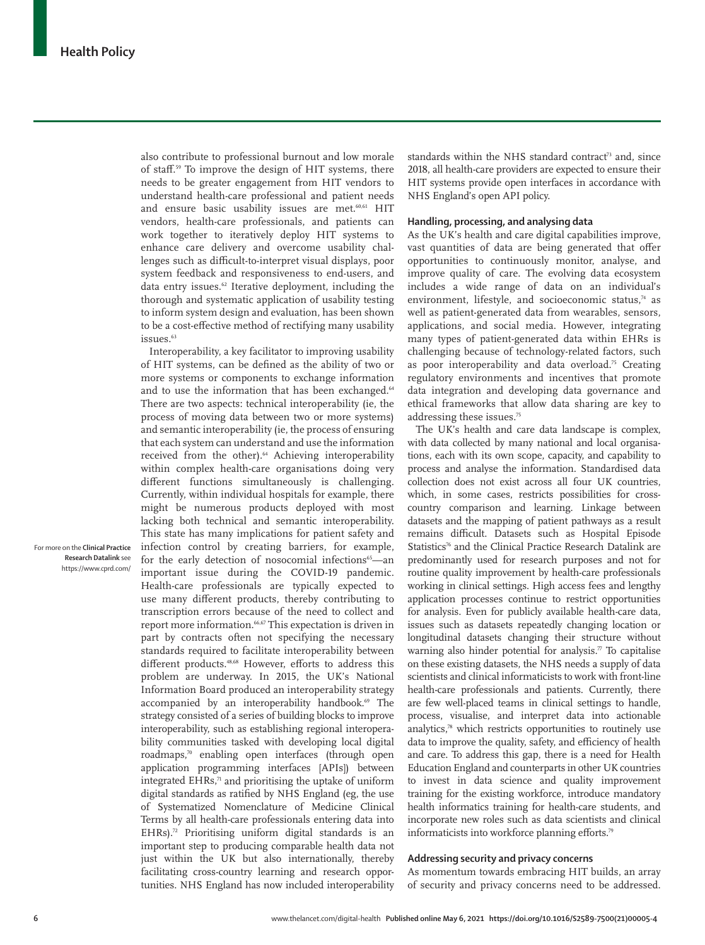also contribute to professional burnout and low morale of staff.59 To improve the design of HIT systems, there needs to be greater engagement from HIT vendors to understand health-care professional and patient needs and ensure basic usability issues are met.<sup>60,61</sup> HIT vendors, health-care professionals, and patients can work together to iteratively deploy HIT systems to enhance care delivery and overcome usability challenges such as difficult-to-interpret visual displays, poor system feedback and responsiveness to end-users, and data entry issues.<sup>62</sup> Iterative deployment, including the thorough and systematic application of usability testing to inform system design and evaluation, has been shown to be a cost-effective method of rectifying many usability issues.63

Interoperability, a key facilitator to improving usability of HIT systems, can be defined as the ability of two or more systems or components to exchange information and to use the information that has been exchanged.<sup>64</sup> There are two aspects: technical interoperability (ie, the process of moving data between two or more systems) and semantic interoperability (ie, the process of ensuring that each system can understand and use the information received from the other).<sup>64</sup> Achieving interoperability within complex health-care organisations doing very different functions simultaneously is challenging. Currently, within individual hospitals for example, there might be numerous products deployed with most lacking both technical and semantic interoperability. This state has many implications for patient safety and infection control by creating barriers, for example, for the early detection of nosocomial infections $65$ —an important issue during the COVID-19 pandemic. Health-care professionals are typically expected to use many different products, thereby contributing to transcription errors because of the need to collect and report more information.<sup>66,67</sup> This expectation is driven in part by contracts often not specifying the necessary standards required to facilitate interoperability between different products.48,68 However, efforts to address this problem are underway. In 2015, the UK's National Information Board produced an interoperability strategy accompanied by an interoperability handbook.<sup>69</sup> The strategy consisted of a series of building blocks to improve interoperability, such as establishing regional interoperability communities tasked with developing local digital roadmaps,70 enabling open interfaces (through open application programming interfaces [APIs]) between integrated EHRs, $71$  and prioritising the uptake of uniform digital standards as ratified by NHS England (eg, the use of Systematized Nomenclature of Medicine Clinical Terms by all health-care professionals entering data into EHRs).<sup>72</sup> Prioritising uniform digital standards is an important step to producing comparable health data not just within the UK but also internationally, thereby facilitating cross-country learning and research opportunities. NHS England has now included interoperability standards within the NHS standard contract<sup>73</sup> and, since 2018, all health-care providers are expected to ensure their HIT systems provide open interfaces in accordance with NHS England's open API policy.

## **Handling, processing, and analysing data**

As the UK's health and care digital capabilities improve, vast quantities of data are being generated that offer opportunities to continuously monitor, analyse, and improve quality of care. The evolving data ecosystem includes a wide range of data on an individual's environment, lifestyle, and socioeconomic status,<sup>74</sup> as well as patient-generated data from wearables, sensors, applications, and social media. However, integrating many types of patient-generated data within EHRs is challenging because of technology-related factors, such as poor interoperability and data overload.<sup>75</sup> Creating regulatory environments and incentives that promote data integration and developing data governance and ethical frameworks that allow data sharing are key to addressing these issues.75

The UK's health and care data landscape is complex, with data collected by many national and local organisations, each with its own scope, capacity, and capability to process and analyse the information. Standardised data collection does not exist across all four UK countries, which, in some cases, restricts possibilities for crosscountry comparison and learning. Linkage between datasets and the mapping of patient pathways as a result remains difficult. Datasets such as Hospital Episode Statistics<sup>76</sup> and the [Clinical Practice Research Datalink](https://www.cprd.com/) are predominantly used for research purposes and not for routine quality improvement by health-care professionals working in clinical settings. High access fees and lengthy application processes continue to restrict opportunities for analysis. Even for publicly available health-care data, issues such as datasets repeatedly changing location or longitudinal datasets changing their structure without warning also hinder potential for analysis.<sup> $7$ </sup> To capitalise on these existing datasets, the NHS needs a supply of data scientists and clinical informaticists to work with front-line health-care professionals and patients. Currently, there are few well-placed teams in clinical settings to handle, process, visualise, and interpret data into actionable analytics,78 which restricts opportunities to routinely use data to improve the quality, safety, and efficiency of health and care. To address this gap, there is a need for Health Education England and counterparts in other UK countries to invest in data science and quality improvement training for the existing workforce, introduce mandatory health informatics training for health-care students, and incorporate new roles such as data scientists and clinical informaticists into workforce planning efforts.<sup>79</sup>

## **Addressing security and privacy concerns**

As momentum towards embracing HIT builds, an array of security and privacy concerns need to be addressed.

For more on the **Clinical Practice Research Datalink** see <https://www.cprd.com/>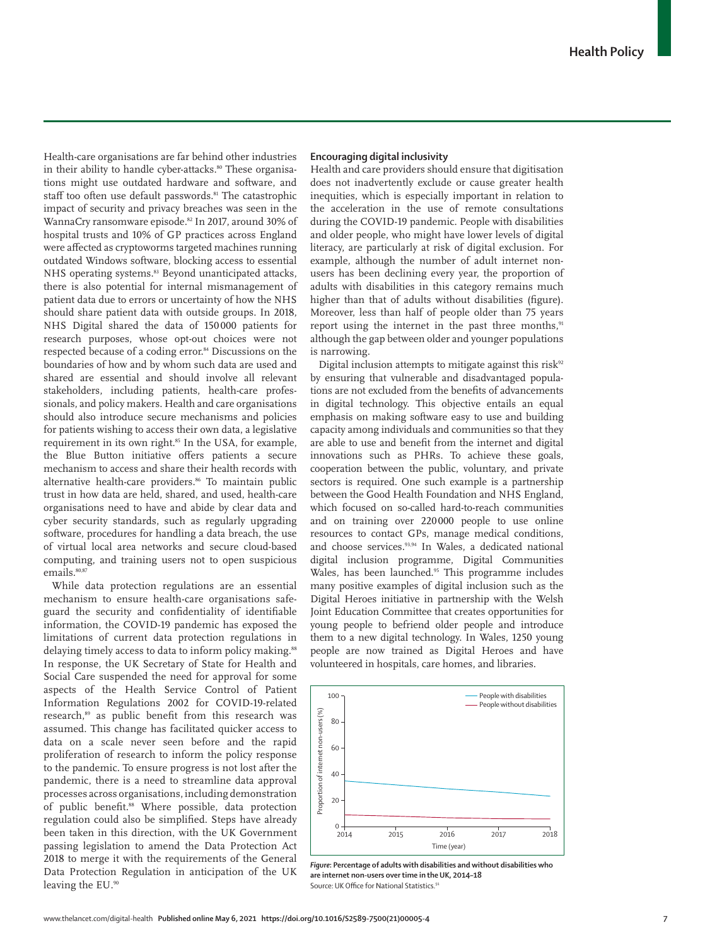Health-care organisations are far behind other industries in their ability to handle cyber-attacks.<sup>80</sup> These organisations might use outdated hardware and software, and staff too often use default passwords.<sup>81</sup> The catastrophic impact of security and privacy breaches was seen in the WannaCry ransomware episode.<sup>82</sup> In 2017, around 30% of hospital trusts and 10% of GP practices across England were affected as cryptoworms targeted machines running outdated Windows software, blocking access to essential NHS operating systems.<sup>83</sup> Beyond unanticipated attacks, there is also potential for internal mismanagement of patient data due to errors or uncertainty of how the NHS should share patient data with outside groups. In 2018, NHS Digital shared the data of 150000 patients for research purposes, whose opt-out choices were not respected because of a coding error.84 Discussions on the boundaries of how and by whom such data are used and shared are essential and should involve all relevant stakeholders, including patients, health-care professionals, and policy makers. Health and care organisations should also introduce secure mechanisms and policies for patients wishing to access their own data, a legislative requirement in its own right.<sup>85</sup> In the USA, for example, the Blue Button initiative offers patients a secure mechanism to access and share their health records with alternative health-care providers.<sup>86</sup> To maintain public trust in how data are held, shared, and used, health-care organisations need to have and abide by clear data and cyber security standards, such as regularly upgrading software, procedures for handling a data breach, the use of virtual local area networks and secure cloud-based computing, and training users not to open suspicious emails.<sup>80,87</sup>

While data protection regulations are an essential mechanism to ensure health-care organisations safeguard the security and confidentiality of identifiable information, the COVID-19 pandemic has exposed the limitations of current data protection regulations in delaying timely access to data to inform policy making.<sup>88</sup> In response, the UK Secretary of State for Health and Social Care suspended the need for approval for some aspects of the Health Service Control of Patient Information Regulations 2002 for COVID-19-related research,<sup>89</sup> as public benefit from this research was assumed. This change has facilitated quicker access to data on a scale never seen before and the rapid proliferation of research to inform the policy response to the pandemic. To ensure progress is not lost after the pandemic, there is a need to streamline data approval processes across organisations, including demonstration of public benefit.<sup>88</sup> Where possible, data protection regulation could also be simplified. Steps have already been taken in this direction, with the UK Government passing legislation to amend the Data Protection Act 2018 to merge it with the requirements of the General Data Protection Regulation in anticipation of the UK leaving the EU.<sup>90</sup>

## **Encouraging digital inclusivity**

Health and care providers should ensure that digitisation does not inadvertently exclude or cause greater health inequities, which is especially important in relation to the acceleration in the use of remote consultations during the COVID-19 pandemic. People with disabilities and older people, who might have lower levels of digital literacy, are particularly at risk of digital exclusion. For example, although the number of adult internet nonusers has been declining every year, the proportion of adults with disabilities in this category remains much higher than that of adults without disabilities (figure). Moreover, less than half of people older than 75 years report using the internet in the past three months, $91$ although the gap between older and younger populations is narrowing.

Digital inclusion attempts to mitigate against this risk $92$ by ensuring that vulnerable and disadvantaged populations are not excluded from the benefits of advancements in digital technology. This objective entails an equal emphasis on making software easy to use and building capacity among individuals and communities so that they are able to use and benefit from the internet and digital innovations such as PHRs. To achieve these goals, cooperation between the public, voluntary, and private sectors is required. One such example is a partnership between the Good Health Foundation and NHS England, which focused on so-called hard-to-reach communities and on training over 220000 people to use online resources to contact GPs, manage medical conditions, and choose services.<sup>93,94</sup> In Wales, a dedicated national digital inclusion programme, Digital Communities Wales, has been launched.<sup>95</sup> This programme includes many positive examples of digital inclusion such as the Digital Heroes initiative in partnership with the Welsh Joint Education Committee that creates opportunities for young people to befriend older people and introduce them to a new digital technology. In Wales, 1250 young people are now trained as Digital Heroes and have volunteered in hospitals, care homes, and libraries.



*Figure***: Percentage of adults with disabilities and without disabilities who are internet non-users over time in the UK, 2014–18** Source: UK Office for National Statistics.<sup>9</sup>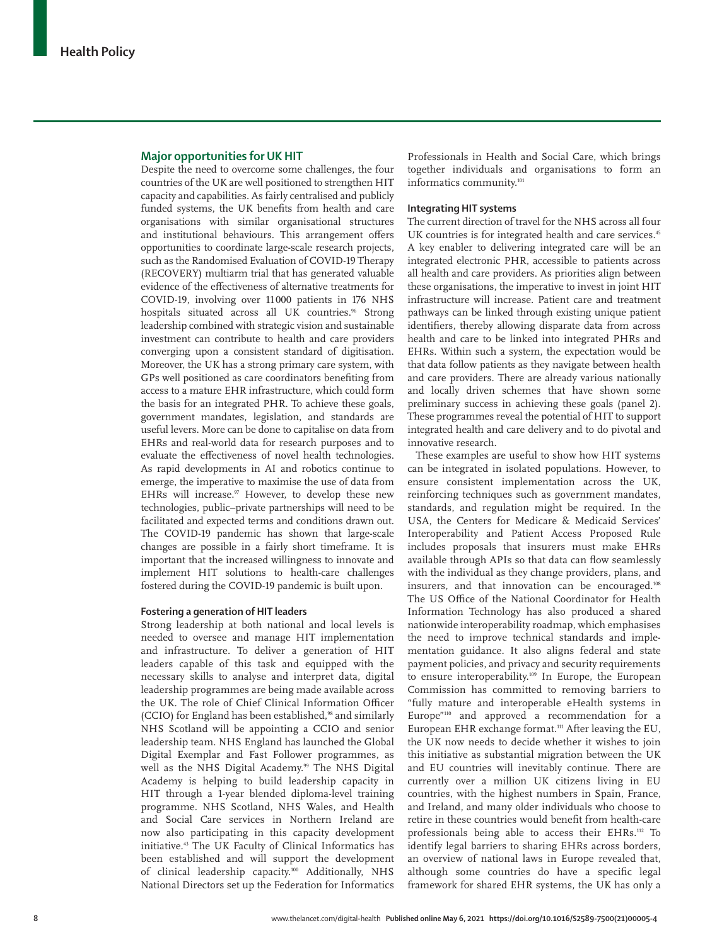## **Major opportunities for UK HIT**

Despite the need to overcome some challenges, the four countries of the UK are well positioned to strengthen HIT capacity and capabilities. As fairly centralised and publicly funded systems, the UK benefits from health and care organisations with similar organisational structures and institutional behaviours. This arrangement offers opportunities to coordinate large-scale research projects, such as the Randomised Evaluation of COVID-19 Therapy (RECOVERY) multiarm trial that has generated valuable evidence of the effectiveness of alternative treatments for COVID-19, involving over 11000 patients in 176 NHS hospitals situated across all UK countries.<sup>96</sup> Strong leadership combined with strategic vision and sustainable investment can contribute to health and care providers converging upon a consistent standard of digitisation. Moreover, the UK has a strong primary care system, with GPs well positioned as care coordinators benefiting from access to a mature EHR infrastructure, which could form the basis for an integrated PHR. To achieve these goals, government mandates, legislation, and standards are useful levers. More can be done to capitalise on data from EHRs and real-world data for research purposes and to evaluate the effectiveness of novel health technologies. As rapid developments in AI and robotics continue to emerge, the imperative to maximise the use of data from EHRs will increase. $97$  However, to develop these new technologies, public–private partnerships will need to be facilitated and expected terms and conditions drawn out. The COVID-19 pandemic has shown that large-scale changes are possible in a fairly short timeframe. It is important that the increased willingness to innovate and implement HIT solutions to health-care challenges fostered during the COVID-19 pandemic is built upon.

## **Fostering a generation of HIT leaders**

Strong leadership at both national and local levels is needed to oversee and manage HIT implementation and infrastructure. To deliver a generation of HIT leaders capable of this task and equipped with the necessary skills to analyse and interpret data, digital leadership programmes are being made available across the UK. The role of Chief Clinical Information Officer (CCIO) for England has been established,<sup>98</sup> and similarly NHS Scotland will be appointing a CCIO and senior leadership team. NHS England has launched the Global Digital Exemplar and Fast Follower programmes, as well as the NHS Digital Academy.<sup>99</sup> The NHS Digital Academy is helping to build leadership capacity in HIT through a 1-year blended diploma-level training programme. NHS Scotland, NHS Wales, and Health and Social Care services in Northern Ireland are now also participating in this capacity development initiative.43 The UK Faculty of Clinical Informatics has been established and will support the development of clinical leadership capacity.100 Additionally, NHS National Directors set up the Federation for Informatics

Professionals in Health and Social Care, which brings together individuals and organisations to form an informatics community.<sup>101</sup>

## **Integrating HIT systems**

The current direction of travel for the NHS across all four UK countries is for integrated health and care services.<sup>45</sup> A key enabler to delivering integrated care will be an integrated electronic PHR, accessible to patients across all health and care providers. As priorities align between these organisations, the imperative to invest in joint HIT infrastructure will increase. Patient care and treatment pathways can be linked through existing unique patient identifiers, thereby allowing disparate data from across health and care to be linked into integrated PHRs and EHRs. Within such a system, the expectation would be that data follow patients as they navigate between health and care providers. There are already various nationally and locally driven schemes that have shown some preliminary success in achieving these goals (panel 2). These programmes reveal the potential of HIT to support integrated health and care delivery and to do pivotal and innovative research.

These examples are useful to show how HIT systems can be integrated in isolated populations. However, to ensure consistent implementation across the UK, reinforcing techniques such as government mandates, standards, and regulation might be required. In the USA, the Centers for Medicare & Medicaid Services' Interoperability and Patient Access Proposed Rule includes proposals that insurers must make EHRs available through APIs so that data can flow seamlessly with the individual as they change providers, plans, and insurers, and that innovation can be encouraged.<sup>108</sup> The US Office of the National Coordinator for Health Information Technology has also produced a shared nationwide interoperability roadmap, which emphasises the need to improve technical standards and implementation guidance. It also aligns federal and state payment policies, and privacy and security requirements to ensure interoperability.109 In Europe, the European Commission has committed to removing barriers to "fully mature and interoperable eHealth systems in Europe"110 and approved a recommendation for a European EHR exchange format.<sup>111</sup> After leaving the EU, the UK now needs to decide whether it wishes to join this initiative as substantial migration between the UK and EU countries will inevitably continue. There are currently over a million UK citizens living in EU countries, with the highest numbers in Spain, France, and Ireland, and many older individuals who choose to retire in these countries would benefit from health-care professionals being able to access their EHRs.112 To identify legal barriers to sharing EHRs across borders, an overview of national laws in Europe revealed that, although some countries do have a specific legal framework for shared EHR systems, the UK has only a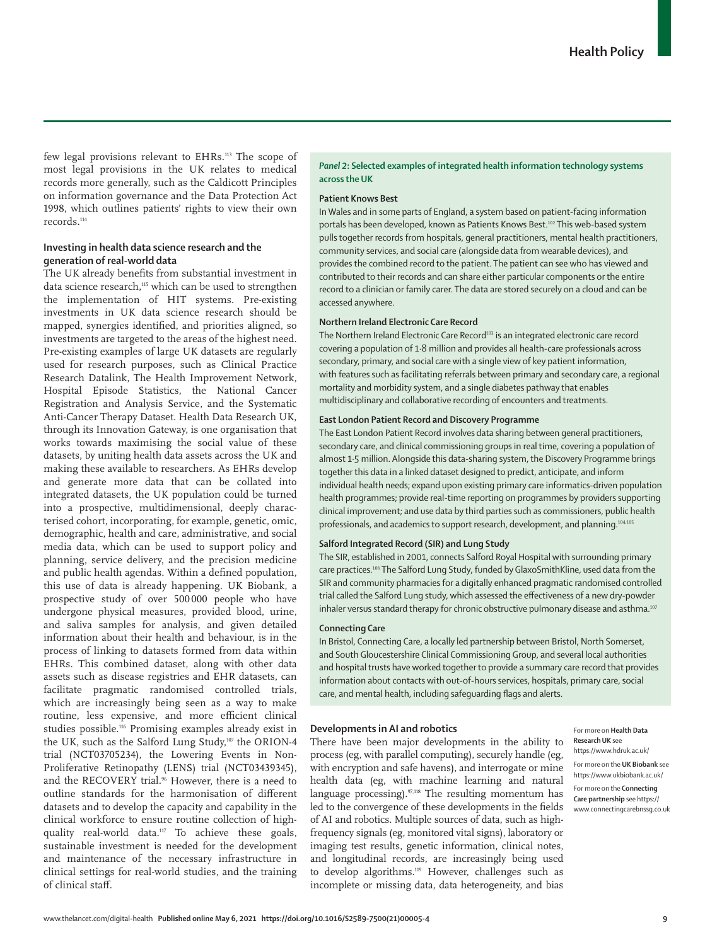few legal provisions relevant to EHRs.113 The scope of most legal provisions in the UK relates to medical records more generally, such as the Caldicott Principles on information governance and the Data Protection Act 1998, which outlines patients' rights to view their own records.114

## **Investing in health data science research and the generation of real-world data**

The UK already benefits from substantial investment in data science research,<sup>115</sup> which can be used to strengthen the implementation of HIT systems. Pre-existing investments in UK data science research should be mapped, synergies identified, and priorities aligned, so investments are targeted to the areas of the highest need. Pre-existing examples of large UK datasets are regularly used for research purposes, such as Clinical Practice Research Datalink, The Health Improvement Network, Hospital Episode Statistics, the National Cancer Registration and Analysis Service, and the Systematic Anti-Cancer Therapy Dataset. [Health Data Research UK,](https://www.hdruk.ac.uk/) through its Innovation Gateway, is one organisation that works towards maximising the social value of these datasets, by uniting health data assets across the UK and making these available to researchers. As EHRs develop and generate more data that can be collated into integrated datasets, the UK population could be turned into a prospective, multidimensional, deeply characterised cohort, incorporating, for example, genetic, omic, demographic, health and care, administrative, and social media data, which can be used to support policy and planning, service delivery, and the precision medicine and public health agendas. Within a defined population, this use of data is already happening. [UK Biobank,](https://www.ukbiobank.ac.uk/) a prospective study of over 500 000 people who have undergone physical measures, provided blood, urine, and saliva samples for analysis, and given detailed information about their health and behaviour, is in the process of linking to datasets formed from data within EHRs. This combined dataset, along with other data assets such as disease registries and EHR datasets, can facilitate pragmatic randomised controlled trials, which are increasingly being seen as a way to make routine, less expensive, and more efficient clinical studies possible.116 Promising examples already exist in the UK, such as the Salford Lung Study,<sup>107</sup> the ORION-4 trial (NCT03705234), the Lowering Events in Non-Proliferative Retinopathy (LENS) trial (NCT03439345), and the RECOVERY trial.<sup>96</sup> However, there is a need to outline standards for the harmonisation of different datasets and to develop the capacity and capability in the clinical workforce to ensure routine collection of highquality real-world data.<sup>117</sup> To achieve these goals, sustainable investment is needed for the development and maintenance of the necessary infrastructure in clinical settings for real-world studies, and the training of clinical staff.

## *Panel 2***: Selected examples of integrated health information technology systems across the UK**

## **Patient Knows Best**

In Wales and in some parts of England, a system based on patient-facing information portals has been developed, known as Patients Knows Best.<sup>102</sup> This web-based system pulls together records from hospitals, general practitioners, mental health practitioners, community services, and social care (alongside data from wearable devices), and provides the combined record to the patient. The patient can see who has viewed and contributed to their records and can share either particular components or the entire record to a clinician or family carer. The data are stored securely on a cloud and can be accessed anywhere.

## **Northern Ireland Electronic Care Record**

The Northern Ireland Electronic Care Record<sup>103</sup> is an integrated electronic care record covering a population of 1·8 million and provides all health-care professionals across secondary, primary, and social care with a single view of key patient information, with features such as facilitating referrals between primary and secondary care, a regional mortality and morbidity system, and a single diabetes pathway that enables multidisciplinary and collaborative recording of encounters and treatments.

#### **East London Patient Record and Discovery Programme**

The East London Patient Record involves data sharing between general practitioners, secondary care, and clinical commissioning groups in real time, covering a population of almost 1·5 million. Alongside this data-sharing system, the Discovery Programme brings together this data in a linked dataset designed to predict, anticipate, and inform individual health needs; expand upon existing primary care informatics-driven population health programmes; provide real-time reporting on programmes by providers supporting clinical improvement; and use data by third parties such as commissioners, public health professionals, and academics to support research, development, and planning.104,105

## **Salford Integrated Record (SIR) and Lung Study**

The SIR, established in 2001, connects Salford Royal Hospital with surrounding primary care practices.<sup>106</sup> The Salford Lung Study, funded by GlaxoSmithKline, used data from the SIR and community pharmacies for a digitally enhanced pragmatic randomised controlled trial called the Salford Lung study, which assessed the effectiveness of a new dry-powder inhaler versus standard therapy for chronic obstructive pulmonary disease and asthma.<sup>107</sup>

#### **Connecting Care**

In Bristol, [Connecting Care](https://www.connectingcarebnssg.co.uk), a locally led partnership between Bristol, North Somerset, and South Gloucestershire Clinical Commissioning Group, and several local authorities and hospital trusts have worked together to provide a summary care record that provides information about contacts with out-of-hours services, hospitals, primary care, social care, and mental health, including safeguarding flags and alerts.

## **Developments in AI and robotics**

There have been major developments in the ability to process (eg, with parallel computing), securely handle (eg, with encryption and safe havens), and interrogate or mine health data (eg, with machine learning and natural language processing). $\frac{97,118}{97,118}$  The resulting momentum has led to the convergence of these developments in the fields of AI and robotics. Multiple sources of data, such as highfrequency signals (eg, monitored vital signs), laboratory or imaging test results, genetic information, clinical notes, and longitudinal records, are increasingly being used to develop algorithms.<sup>119</sup> However, challenges such as incomplete or missing data, data heterogeneity, and bias

For more on **Health Data Research UK** see <https://www.hdruk.ac.uk/> For more on the **UK Biobank** see <https://www.ukbiobank.ac.uk/> For more on the **Connecting Care partnership** see [https://](https://www.connectingcarebnssg.co.uk) [www.connectingcarebnssg.co.uk](https://www.connectingcarebnssg.co.uk)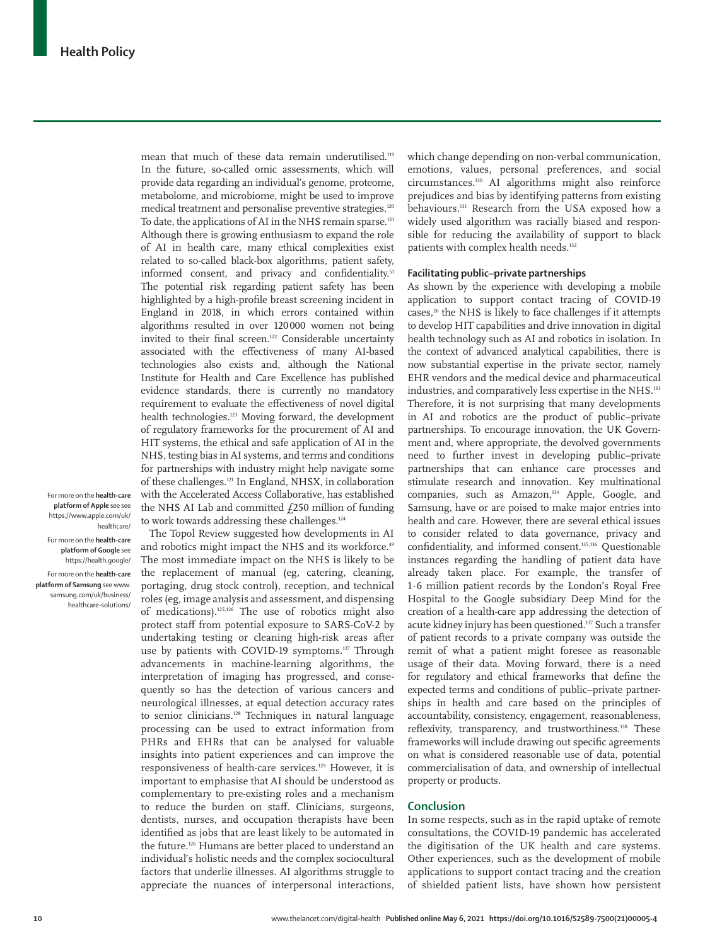mean that much of these data remain underutilised.119 In the future, so-called omic assessments, which will provide data regarding an individual's genome, proteome, metabolome, and microbiome, might be used to improve medical treatment and personalise preventive strategies.<sup>120</sup> To date, the applications of AI in the NHS remain sparse.<sup>121</sup> Although there is growing enthusiasm to expand the role of AI in health care, many ethical complexities exist related to so-called black-box algorithms, patient safety, informed consent, and privacy and confidentiality.<sup>51</sup> The potential risk regarding patient safety has been highlighted by a high-profile breast screening incident in England in 2018, in which errors contained within algorithms resulted in over 120000 women not being invited to their final screen.122 Considerable uncertainty associated with the effectiveness of many AI-based technologies also exists and, although the National Institute for Health and Care Excellence has published evidence standards, there is currently no mandatory requirement to evaluate the effectiveness of novel digital health technologies.<sup>123</sup> Moving forward, the development of regulatory frameworks for the procurement of AI and HIT systems, the ethical and safe application of AI in the NHS, testing bias in AI systems, and terms and conditions for partnerships with industry might help navigate some of these challenges.121 In England, NHSX, in collaboration with the Accelerated Access Collaborative, has established the NHS AI Lab and committed  $f$ 250 million of funding to work towards addressing these challenges.<sup>124</sup>

For more on the **health-care platform of Apple** see see [https://www.apple.com/uk/](https://www.apple.com/uk/healthcare/) [healthcare/](https://www.apple.com/uk/healthcare/)

For more on the **health-care platform of Google** see <https://health.google/> For more on the **health-care platform of Samsung** see [www.](http://www.samsung.com/uk/business/healthcare-solutions/) [samsung.com/uk/business/](http://www.samsung.com/uk/business/healthcare-solutions/) [healthcare-solutions/](http://www.samsung.com/uk/business/healthcare-solutions/)

The Topol Review suggested how developments in AI and robotics might impact the NHS and its workforce.<sup>49</sup> The most immediate impact on the NHS is likely to be the replacement of manual (eg, catering, cleaning, portaging, drug stock control), reception, and technical roles (eg, image analysis and assessment, and dispensing of medications).125,126 The use of robotics might also protect staff from potential exposure to SARS-CoV-2 by undertaking testing or cleaning high-risk areas after use by patients with COVID-19 symptoms.<sup>127</sup> Through advancements in machine-learning algorithms, the interpretation of imaging has progressed, and consequently so has the detection of various cancers and neurological illnesses, at equal detection accuracy rates to senior clinicians.<sup>128</sup> Techniques in natural language processing can be used to extract information from PHRs and EHRs that can be analysed for valuable insights into patient experiences and can improve the responsiveness of health-care services.129 However, it is important to emphasise that AI should be understood as complementary to pre-existing roles and a mechanism to reduce the burden on staff. Clinicians, surgeons, dentists, nurses, and occupation therapists have been identified as jobs that are least likely to be automated in the future.<sup>126</sup> Humans are better placed to understand an individual's holistic needs and the complex sociocultural factors that underlie illnesses. AI algorithms struggle to appreciate the nuances of interpersonal interactions, which change depending on non-verbal communication, emotions, values, personal preferences, and social circumstances.130 AI algorithms might also reinforce prejudices and bias by identifying patterns from existing behaviours.131 Research from the USA exposed how a widely used algorithm was racially biased and responsible for reducing the availability of support to black patients with complex health needs.<sup>132</sup>

## **Facilitating public**–**private partnerships**

As shown by the experience with developing a mobile application to support contact tracing of COVID-19 cases,26 the NHS is likely to face challenges if it attempts to develop HIT capabilities and drive innovation in digital health technology such as AI and robotics in isolation. In the context of advanced analytical capabilities, there is now substantial expertise in the private sector, namely EHR vendors and the medical device and pharmaceutical industries, and comparatively less expertise in the NHS.<sup>133</sup> Therefore, it is not surprising that many developments in AI and robotics are the product of public–private partnerships. To encourage innovation, the UK Government and, where appropriate, the devolved governments need to further invest in developing public–private partnerships that can enhance care processes and stimulate research and innovation. Key multinational companies, such as Amazon,<sup>134</sup> [Apple,](https://www.apple.com/uk/healthcare/) [Google,](https://health.google/) and [Samsung,](http://www.samsung.com/uk/business/healthcare-solutions/) have or are poised to make major entries into health and care. However, there are several ethical issues to consider related to data governance, privacy and confidentiality, and informed consent.135,136 Questionable instances regarding the handling of patient data have already taken place. For example, the transfer of 1·6 million patient records by the London's Royal Free Hospital to the Google subsidiary Deep Mind for the creation of a health-care app addressing the detection of acute kidney injury has been questioned.137 Such a transfer of patient records to a private company was outside the remit of what a patient might foresee as reasonable usage of their data. Moving forward, there is a need for regulatory and ethical frameworks that define the expected terms and conditions of public–private partnerships in health and care based on the principles of accountability, consistency, engagement, reasonableness, reflexivity, transparency, and trustworthiness.138 These frameworks will include drawing out specific agreements on what is considered reasonable use of data, potential commercialisation of data, and ownership of intellectual property or products.

#### **Conclusion**

In some respects, such as in the rapid uptake of remote consultations, the COVID-19 pandemic has accelerated the digitisation of the UK health and care systems. Other experiences, such as the development of mobile applications to support contact tracing and the creation of shielded patient lists, have shown how persistent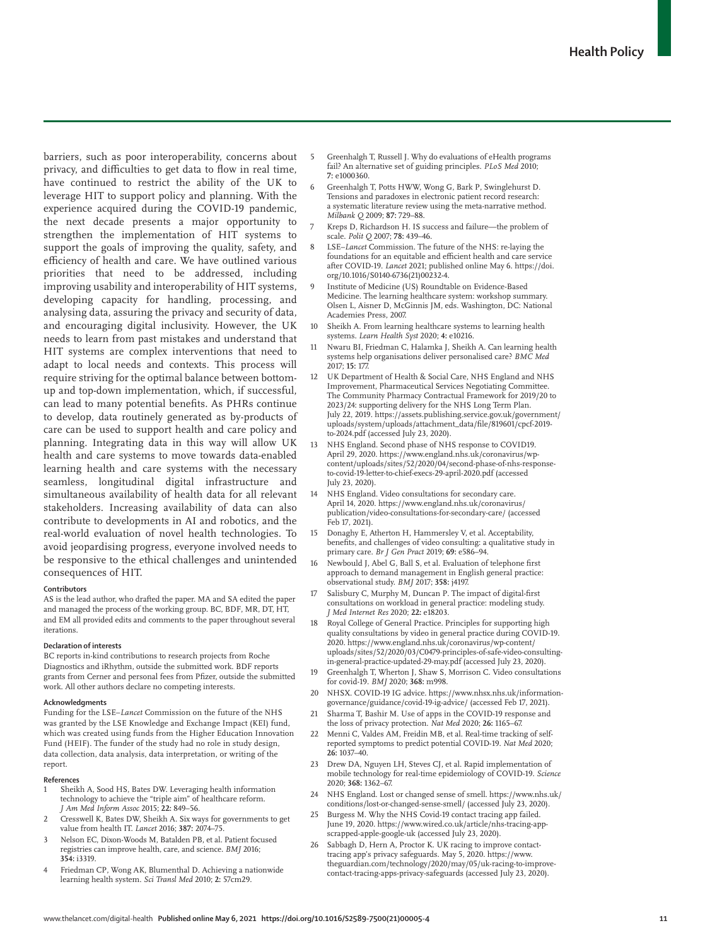barriers, such as poor interoperability, concerns about privacy, and difficulties to get data to flow in real time, have continued to restrict the ability of the UK to leverage HIT to support policy and planning. With the experience acquired during the COVID-19 pandemic, the next decade presents a major opportunity to strengthen the implementation of HIT systems to support the goals of improving the quality, safety, and efficiency of health and care. We have outlined various priorities that need to be addressed, including improving usability and interoperability of HIT systems, developing capacity for handling, processing, and analysing data, assuring the privacy and security of data, and encouraging digital inclusivity. However, the UK needs to learn from past mistakes and understand that HIT systems are complex interventions that need to adapt to local needs and contexts. This process will require striving for the optimal balance between bottomup and top-down implementation, which, if successful, can lead to many potential benefits. As PHRs continue to develop, data routinely generated as by-products of care can be used to support health and care policy and planning. Integrating data in this way will allow UK health and care systems to move towards data-enabled learning health and care systems with the necessary seamless, longitudinal digital infrastructure and simultaneous availability of health data for all relevant stakeholders. Increasing availability of data can also contribute to developments in AI and robotics, and the real-world evaluation of novel health technologies. To avoid jeopardising progress, everyone involved needs to be responsive to the ethical challenges and unintended consequences of HIT.

#### **Contributors**

AS is the lead author, who drafted the paper. MA and SA edited the paper and managed the process of the working group. BC, BDF, MR, DT, HT, and EM all provided edits and comments to the paper throughout several iterations.

#### **Declaration of interests**

BC reports in-kind contributions to research projects from Roche Diagnostics and iRhythm, outside the submitted work. BDF reports grants from Cerner and personal fees from Pfizer, outside the submitted work. All other authors declare no competing interests.

#### **Acknowledgments**

Funding for the LSE–*Lancet* Commission on the future of the NHS was granted by the LSE Knowledge and Exchange Impact (KEI) fund, which was created using funds from the Higher Education Innovation Fund (HEIF). The funder of the study had no role in study design, data collection, data analysis, data interpretation, or writing of the report.

#### **References**

- Sheikh A, Sood HS, Bates DW. Leveraging health information technology to achieve the "triple aim" of healthcare reform. *J Am Med Inform Assoc* 2015; **22:** 849–56.
- 2 Cresswell K, Bates DW, Sheikh A. Six ways for governments to get value from health IT. *Lancet* 2016; **387:** 2074–75.
- 3 Nelson EC, Dixon-Woods M, Batalden PB, et al. Patient focused registries can improve health, care, and science. *BMJ* 2016; **354:** i3319.
- 4 Friedman CP, Wong AK, Blumenthal D. Achieving a nationwide learning health system. *Sci Transl Med* 2010; **2:** 57cm29.
- 5 Greenhalgh T, Russell J. Why do evaluations of eHealth programs fail? An alternative set of guiding principles. *PLoS Med* 2010; **7:** e1000360.
- 6 Greenhalgh T, Potts HWW, Wong G, Bark P, Swinglehurst D. Tensions and paradoxes in electronic patient record research: a systematic literature review using the meta-narrative method. *Milbank Q* 2009; **87:** 729–88.
- Kreps D, Richardson H. IS success and failure--- the problem of scale. *Polit Q* 2007; **78:** 439–46.
- 8 LSE–*Lancet* Commission. The future of the NHS: re-laying the foundations for an equitable and efficient health and care service after COVID-19. *Lancet* 2021; published online May 6. https://doi. org/10.1016/S0140-6736(21)00232-4.
- Institute of Medicine (US) Roundtable on Evidence-Based Medicine. The learning healthcare system: workshop summary. Olsen L, Aisner D, McGinnis JM, eds. Washington, DC: National Academies Press, 2007.
- 10 Sheikh A. From learning healthcare systems to learning health systems. *Learn Health Syst* 2020; **4:** e10216.
- 11 Nwaru BI, Friedman C, Halamka J, Sheikh A. Can learning health systems help organisations deliver personalised care? *BMC Med* 2017; **15:** 177.
- 12 UK Department of Health & Social Care, NHS England and NHS Improvement, Pharmaceutical Services Negotiating Committee. The Community Pharmacy Contractual Framework for 2019/20 to 2023/24: supporting delivery for the NHS Long Term Plan. July 22, 2019. https://assets.publishing.service.gov.uk/government/ uploads/system/uploads/attachment\_data/file/819601/cpcf-2019 to-2024.pdf (accessed July 23, 2020).
- NHS England. Second phase of NHS response to COVID19. April 29, 2020. https://www.england.nhs.uk/coronavirus/wpcontent/uploads/sites/52/2020/04/second-phase-of-nhs-responseto-covid-19-letter-to-chief-execs-29-april-2020.pdf (accessed July 23, 2020).
- NHS England. Video consultations for secondary care. April 14, 2020. https://www.england.nhs.uk/coronavirus/ publication/video-consultations-for-secondary-care/ (accessed Feb 17, 2021).
- 15 Donaghy E, Atherton H, Hammersley V, et al. Acceptability, benefits, and challenges of video consulting: a qualitative study in primary care. *Br J Gen Pract* 2019; **69:** e586–94.
- 16 Newbould J, Abel G, Ball S, et al. Evaluation of telephone first approach to demand management in English general practice: observational study. *BMJ* 2017; **358:** j4197.
- 17 Salisbury C, Murphy M, Duncan P. The impact of digital-first consultations on workload in general practice: modeling study. *J Med Internet Res* 2020; **22:** e18203.
- 18 Royal College of General Practice. Principles for supporting high quality consultations by video in general practice during COVID-19. 2020. https://www.england.nhs.uk/coronavirus/wp-content/ uploads/sites/52/2020/03/C0479-principles-of-safe-video-consultingin-general-practice-updated-29-may.pdf (accessed July 23, 2020).
- 19 Greenhalgh T, Wherton J, Shaw S, Morrison C. Video consultations for covid-19. *BMJ* 2020; **368:** m998.
- 20 NHSX. COVID-19 IG advice. https://www.nhsx.nhs.uk/informationgovernance/guidance/covid-19-ig-advice/ (accessed Feb 17, 2021).
- 21 Sharma T, Bashir M. Use of apps in the COVID-19 response and the loss of privacy protection. *Nat Med* 2020; **26:** 1165–67.
- Menni C, Valdes AM, Freidin MB, et al. Real-time tracking of selfreported symptoms to predict potential COVID-19. *Nat Med* 2020; **26:** 1037–40.
- 23 Drew DA, Nguyen LH, Steves CJ, et al. Rapid implementation of mobile technology for real-time epidemiology of COVID-19. *Science* 2020; **368:** 1362–67.
- 24 NHS England. Lost or changed sense of smell. https://www.nhs.uk/ conditions/lost-or-changed-sense-smell/ (accessed July 23, 2020).
- 25 Burgess M. Why the NHS Covid-19 contact tracing app failed. June 19, 2020. https://www.wired.co.uk/article/nhs-tracing-appscrapped-apple-google-uk (accessed July 23, 2020).
- 26 Sabbagh D, Hern A, Proctor K. UK racing to improve contacttracing app's privacy safeguards. May 5, 2020. https://www. theguardian.com/technology/2020/may/05/uk-racing-to-improvecontact-tracing-apps-privacy-safeguards (accessed July 23, 2020).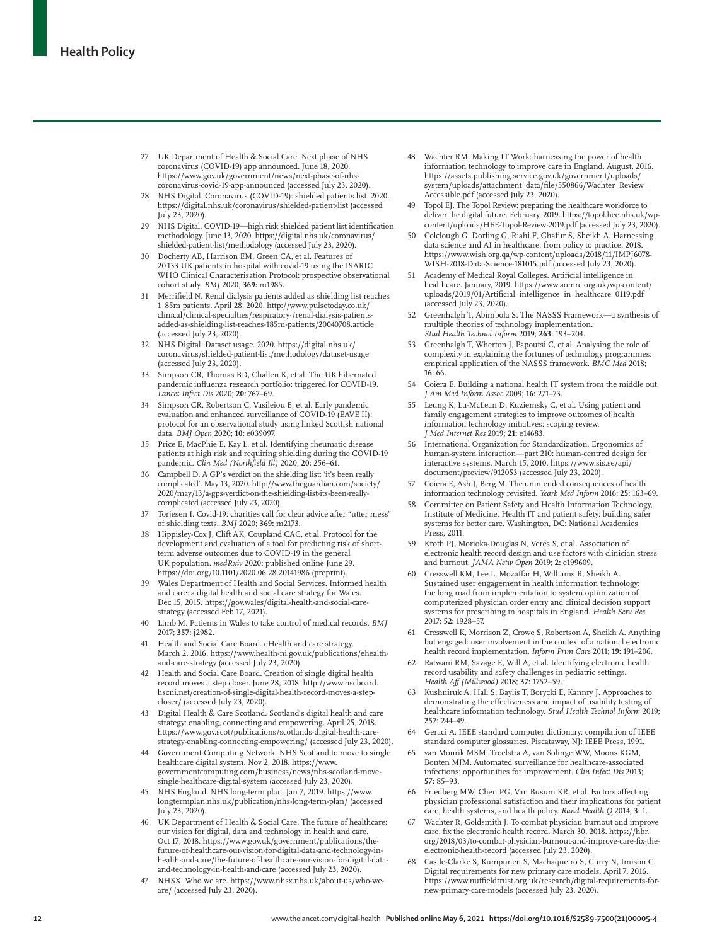- 27 UK Department of Health & Social Care. Next phase of NHS coronavirus (COVID-19) app announced. June 18, 2020. https://www.gov.uk/government/news/next-phase-of-nhscoronavirus-covid-19-app-announced (accessed July 23, 2020).
- 28 NHS Digital. Coronavirus (COVID-19): shielded patients list. 2020. https://digital.nhs.uk/coronavirus/shielded-patient-list (accessed July 23, 2020).
- 29 NHS Digital. COVID-19—high risk shielded patient list identification methodology. June 13, 2020. https://digital.nhs.uk/coronavirus/ shielded-patient-list/methodology (accessed July 23, 2020).
- 30 Docherty AB, Harrison EM, Green CA, et al. Features of 20 133 UK patients in hospital with covid-19 using the ISARIC WHO Clinical Characterisation Protocol: prospective observational cohort study. *BMJ* 2020; **369:** m1985.
- 31 Merrifield N. Renal dialysis patients added as shielding list reaches 1·85m patients. April 28, 2020. http://www.pulsetoday.co.uk/ clinical/clinical-specialties/respiratory-/renal-dialysis-patientsadded-as-shielding-list-reaches-185m-patients/20040708.article (accessed July 23, 2020).
- 32 NHS Digital. Dataset usage. 2020. https://digital.nhs.uk/ coronavirus/shielded-patient-list/methodology/dataset-usage (accessed July 23, 2020).
- Simpson CR, Thomas BD, Challen K, et al. The UK hibernated pandemic influenza research portfolio: triggered for COVID-19. *Lancet Infect Dis* 2020; **20:** 767–69.
- 34 Simpson CR, Robertson C, Vasileiou E, et al. Early pandemic evaluation and enhanced surveillance of COVID-19 (EAVE II): protocol for an observational study using linked Scottish national data. *BMJ Open* 2020; **10:** e039097.
- 35 Price E, MacPhie E, Kay L, et al. Identifying rheumatic disease patients at high risk and requiring shielding during the COVID-19 pandemic. *Clin Med (Northfield Ill)* 2020; **20:** 256–61.
- 36 Campbell D. A GP's verdict on the shielding list: 'it's been really complicated'. May 13, 2020. http://www.theguardian.com/society/ 2020/may/13/a-gps-verdict-on-the-shielding-list-its-been-reallycomplicated (accessed July 23, 2020).
- 37 Torjesen I. Covid-19: charities call for clear advice after "utter mess" of shielding texts. *BMJ* 2020; **369:** m2173.
- 38 Hippisley-Cox J, Clift AK, Coupland CAC, et al. Protocol for the development and evaluation of a tool for predicting risk of shortterm adverse outcomes due to COVID-19 in the general UK population. *medRxiv* 2020; published online June 29. https://doi.org/10.1101/2020.06.28.20141986 (preprint).
- 39 Wales Department of Health and Social Services. Informed health and care: a digital health and social care strategy for Wales. Dec 15, 2015. https://gov.wales/digital-health-and-social-carestrategy (accessed Feb 17, 2021).
- 40 Limb M. Patients in Wales to take control of medical records. *BMJ* 2017; **357:** j2982.
- 41 Health and Social Care Board. eHealth and care strategy. March 2, 2016. https://www.health-ni.gov.uk/publications/ehealthand-care-strategy (accessed July 23, 2020).
- 42 Health and Social Care Board. Creation of single digital health record moves a step closer. June 28, 2018. http://www.hscboard. hscni.net/creation-of-single-digital-health-record-moves-a-stepcloser/ (accessed July 23, 2020).
- 43 Digital Health & Care Scotland. Scotland's digital health and care strategy: enabling, connecting and empowering. April 25, 2018. https://www.gov.scot/publications/scotlands-digital-health-carestrategy-enabling-connecting-empowering/ (accessed July 23, 2020).
- Government Computing Network. NHS Scotland to move to single healthcare digital system. Nov 2, 2018. https://www. governmentcomputing.com/business/news/nhs-scotland-movesingle-healthcare-digital-system (accessed July 23, 2020).
- 45 NHS England. NHS long-term plan. Jan 7, 2019. https://www. longtermplan.nhs.uk/publication/nhs-long-term-plan/ (accessed July 23, 2020).
- 46 UK Department of Health & Social Care. The future of healthcare: our vision for digital, data and technology in health and care. Oct 17, 2018. https://www.gov.uk/government/publications/thefuture-of-healthcare-our-vision-for-digital-data-and-technology-inhealth-and-care/the-future-of-healthcare-our-vision-for-digital-dataand-technology-in-health-and-care (accessed July 23, 2020).
- 47 NHSX. Who we are. https://www.nhsx.nhs.uk/about-us/who-weare/ (accessed July 23, 2020).
- 48 Wachter RM. Making IT Work: harnessing the power of health information technology to improve care in England. August, 2016. https://assets.publishing.service.gov.uk/government/uploads/ system/uploads/attachment\_data/file/550866/Wachter\_Review\_ Accessible.pdf (accessed July 23, 2020).
- 49 Topol EJ. The Topol Review: preparing the healthcare workforce to deliver the digital future. February, 2019. https://topol.hee.nhs.uk/wpcontent/uploads/HEE-Topol-Review-2019.pdf (accessed July 23, 2020).
- 50 Colclough G, Dorling G, Riahi F, Ghafur S, Sheikh A. Harnessing data science and AI in healthcare: from policy to practice. 2018. https://www.wish.org.qa/wp-content/uploads/2018/11/IMPJ6078- WISH-2018-Data-Science-181015.pdf (accessed July 23, 2020).
- 51 Academy of Medical Royal Colleges. Artificial intelligence in healthcare. January, 2019. https://www.aomrc.org.uk/wp-content/ uploads/2019/01/Artificial\_intelligence\_in\_healthcare\_0119.pdf (accessed July 23, 2020).
- 52 Greenhalgh T, Abimbola S. The NASSS Framework—a synthesis of multiple theories of technology implementation. *Stud Health Technol Inform* 2019; **263:** 193–204.
- 53 Greenhalgh T, Wherton J, Papoutsi C, et al. Analysing the role of complexity in explaining the fortunes of technology programmes: empirical application of the NASSS framework. *BMC Med* 2018; **16:** 66.
- 54 Coiera E. Building a national health IT system from the middle out. *J Am Med Inform Assoc* 2009; **16:** 271–73.
- 55 Leung K, Lu-McLean D, Kuziemsky C, et al. Using patient and family engagement strategies to improve outcomes of health information technology initiatives: scoping review. *J Med Internet Res* 2019; **21:** e14683.
- International Organization for Standardization. Ergonomics of human-system interaction—part 210: human-centred design for interactive systems. March 15, 2010. https://www.sis.se/api/ document/preview/912053 (accessed July 23, 2020).
- 57 Coiera E, Ash J, Berg M. The unintended consequences of health information technology revisited. *Yearb Med Inform* 2016; **25:** 163–69.
- 58 Committee on Patient Safety and Health Information Technology, Institute of Medicine. Health IT and patient safety: building safer systems for better care. Washington, DC: National Academies Press, 2011.
- 59 Kroth PJ, Morioka-Douglas N, Veres S, et al. Association of electronic health record design and use factors with clinician stress and burnout. *JAMA Netw Open* 2019; **2:** e199609.
- 60 Cresswell KM, Lee L, Mozaffar H, Williams R, Sheikh A. Sustained user engagement in health information technology: the long road from implementation to system optimization of computerized physician order entry and clinical decision support systems for prescribing in hospitals in England. *Health Serv Res* 2017; **52:** 1928–57.
- 61 Cresswell K, Morrison Z, Crowe S, Robertson A, Sheikh A. Anything but engaged: user involvement in the context of a national electronic health record implementation. *Inform Prim Care* 2011; **19:** 191–206.
- 62 Ratwani RM, Savage E, Will A, et al. Identifying electronic health record usability and safety challenges in pediatric settings. *Health Aff (Millwood)* 2018; **37:** 1752–59.
- 63 Kushniruk A, Hall S, Baylis T, Borycki E, Kannry J. Approaches to demonstrating the effectiveness and impact of usability testing of healthcare information technology. *Stud Health Technol Inform* 2019; **257:** 244–49.
- 64 Geraci A. IEEE standard computer dictionary: compilation of IEEE standard computer glossaries. Piscataway, NJ: IEEE Press, 1991.
- van Mourik MSM, Troelstra A, van Solinge WW, Moons KGM, Bonten MJM. Automated surveillance for healthcare-associated infections: opportunities for improvement. *Clin Infect Dis* 2013; **57:** 85–93.
- 66 Friedberg MW, Chen PG, Van Busum KR, et al. Factors affecting physician professional satisfaction and their implications for patient care, health systems, and health policy. *Rand Health Q* 2014; **3:** 1.
- 67 Wachter R, Goldsmith J. To combat physician burnout and improve care, fix the electronic health record. March 30, 2018. https://hbr. org/2018/03/to-combat-physician-burnout-and-improve-care-fix-theelectronic-health-record (accessed July 23, 2020).
- 68 Castle-Clarke S, Kumpunen S, Machaqueiro S, Curry N, Imison C. Digital requirements for new primary care models. April 7, 2016. https://www.nuffieldtrust.org.uk/research/digital-requirements-fornew-primary-care-models (accessed July 23, 2020).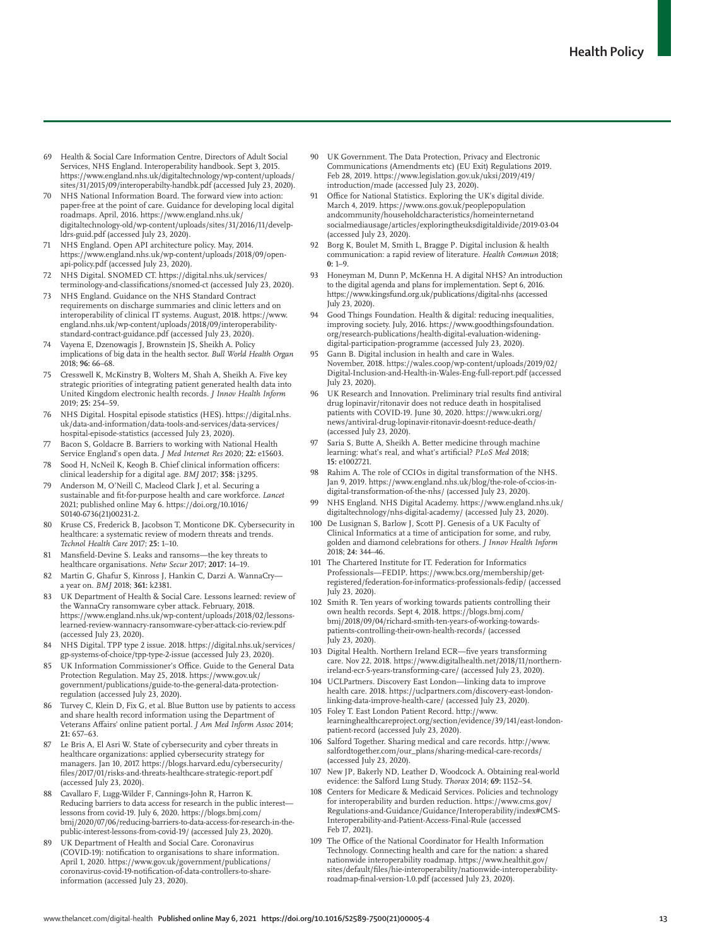- 69 Health & Social Care Information Centre, Directors of Adult Social Services, NHS England. Interoperability handbook. Sept 3, 2015. https://www.england.nhs.uk/digitaltechnology/wp-content/uploads/ sites/31/2015/09/interoperabilty-handbk.pdf (accessed July 23, 2020).
- 70 NHS National Information Board. The forward view into action: paper-free at the point of care. Guidance for developing local digital roadmaps. April, 2016. https://www.england.nhs.uk/ digitaltechnology-old/wp-content/uploads/sites/31/2016/11/develpldrs-guid.pdf (accessed July 23, 2020).
- NHS England. Open API architecture policy. May, 2014. https://www.england.nhs.uk/wp-content/uploads/2018/09/openapi-policy.pdf (accessed July 23, 2020).
- 72 NHS Digital. SNOMED CT. https://digital.nhs.uk/services/ terminology-and-classifications/snomed-ct (accessed July 23, 2020).
- NHS England. Guidance on the NHS Standard Contract requirements on discharge summaries and clinic letters and on interoperability of clinical IT systems. August, 2018. https://www. england.nhs.uk/wp-content/uploads/2018/09/interoperabilitystandard-contract-guidance.pdf (accessed July 23, 2020).
- 74 Vayena E, Dzenowagis J, Brownstein JS, Sheikh A. Policy implications of big data in the health sector. *Bull World Health Organ* 2018; **96:** 66–68.
- 75 Cresswell K, McKinstry B, Wolters M, Shah A, Sheikh A. Five key strategic priorities of integrating patient generated health data into United Kingdom electronic health records. *J Innov Health Inform* 2019; **25:** 254–59.
- 76 NHS Digital. Hospital episode statistics (HES). https://digital.nhs. uk/data-and-information/data-tools-and-services/data-services/ hospital-episode-statistics (accessed July 23, 2020).
- 77 Bacon S, Goldacre B. Barriers to working with National Health Service England's open data. *J Med Internet Res* 2020; **22:** e15603.
- 78 Sood H, NcNeil K, Keogh B. Chief clinical information officers: clinical leadership for a digital age. *BMJ* 2017; **358:** j3295.
- Anderson M, O'Neill C, Macleod Clark J, et al. Securing a sustainable and fit-for-purpose health and care workforce. *Lancet* 2021; published online May 6. https://doi.org/10.1016/ S0140-6736(21)00231-2.
- Kruse CS, Frederick B, Jacobson T, Monticone DK. Cybersecurity in healthcare: a systematic review of modern threats and trends. *Technol Health Care* 2017; **25:** 1–10.
- 81 Mansfield-Devine S. Leaks and ransoms—the key threats to healthcare organisations. *Netw Secur* 2017; **2017:** 14–19.
- Martin G, Ghafur S, Kinross J, Hankin C, Darzi A. WannaCrya year on. *BMJ* 2018; **361:** k2381.
- 83 UK Department of Health & Social Care. Lessons learned: review of the WannaCry ransomware cyber attack. February, 2018. https://www.england.nhs.uk/wp-content/uploads/2018/02/lessonslearned-review-wannacry-ransomware-cyber-attack-cio-review.pdf (accessed July 23, 2020).
- 84 NHS Digital. TPP type 2 issue. 2018. https://digital.nhs.uk/services/ gp-systems-of-choice/tpp-type-2-issue (accessed July 23, 2020).
- 85 UK Information Commissioner's Office. Guide to the General Data Protection Regulation. May 25, 2018. https://www.gov.uk/ government/publications/guide-to-the-general-data-protectionregulation (accessed July 23, 2020).
- Turvey C, Klein D, Fix G, et al. Blue Button use by patients to access and share health record information using the Department of Veterans Affairs' online patient portal. *J Am Med Inform Assoc* 2014; **21:** 657–63.
- 87 Le Bris A, El Asri W. State of cybersecurity and cyber threats in healthcare organizations: applied cybersecurity strategy for managers. Jan 10, 2017. https://blogs.harvard.edu/cybersecurity/ files/2017/01/risks-and-threats-healthcare-strategic-report.pdf (accessed July 23, 2020).
- 88 Cavallaro F, Lugg-Wilder F, Cannings-John R, Harron K. Reducing barriers to data access for research in the public interest lessons from covid-19. July 6, 2020. https://blogs.bmj.com/ bmj/2020/07/06/reducing-barriers-to-data-access-for-research-in-thepublic-interest-lessons-from-covid-19/ (accessed July 23, 2020).
- 89 UK Department of Health and Social Care. Coronavirus (COVID-19): notification to organisations to share information. April 1, 2020. https://www.gov.uk/government/publications/ coronavirus-covid-19-notification-of-data-controllers-to-shareinformation (accessed July 23, 2020).
- UK Government. The Data Protection, Privacy and Electronic Communications (Amendments etc) (EU Exit) Regulations 2019. Feb 28, 2019. https://www.legislation.gov.uk/uksi/2019/419/ introduction/made (accessed July 23, 2020).
- 91 Office for National Statistics. Exploring the UK's digital divide. March 4, 2019. https://www.ons.gov.uk/peoplepopulation andcommunity/householdcharacteristics/homeinternetand socialmediausage/articles/exploringtheuksdigitaldivide/2019-03-04 (accessed July 23, 2020).
- Borg K, Boulet M, Smith L, Bragge P. Digital inclusion & health communication: a rapid review of literature. *Health Commun* 2018; **0:** 1–9.
- 93 Honeyman M, Dunn P, McKenna H. A digital NHS? An introduction to the digital agenda and plans for implementation. Sept 6, 2016. https://www.kingsfund.org.uk/publications/digital-nhs (accessed July 23, 2020).
- 94 Good Things Foundation. Health & digital: reducing inequalities, improving society. July, 2016. https://www.goodthingsfoundation. org/research-publications/health-digital-evaluation-wideningdigital-participation-programme (accessed July 23, 2020).
- 95 Gann B. Digital inclusion in health and care in Wales. November, 2018. https://wales.coop/wp-content/uploads/2019/02/ Digital-Inclusion-and-Health-in-Wales-Eng-full-report.pdf (accessed July 23, 2020).
- 96 UK Research and Innovation. Preliminary trial results find antiviral drug lopinavir/ritonavir does not reduce death in hospitalised patients with COVID-19. June 30, 2020. https://www.ukri.org/ news/antiviral-drug-lopinavir-ritonavir-doesnt-reduce-death/ (accessed July 23, 2020).
- 97 Saria S, Butte A, Sheikh A. Better medicine through machine learning: what's real, and what's artificial? *PLoS Med* 2018; **15:** e1002721.
- Rahim A. The role of CCIOs in digital transformation of the NHS Jan 9, 2019. https://www.england.nhs.uk/blog/the-role-of-ccios-indigital-transformation-of-the-nhs/ (accessed July 23, 2020).
- 99 NHS England. NHS Digital Academy. https://www.england.nhs.uk/ digitaltechnology/nhs-digital-academy/ (accessed July 23, 2020).
- 100 De Lusignan S, Barlow J, Scott PJ. Genesis of a UK Faculty of Clinical Informatics at a time of anticipation for some, and ruby, golden and diamond celebrations for others. *J Innov Health Inform* 2018; **24:** 344–46.
- 101 The Chartered Institute for IT. Federation for Informatics Professionals—FEDIP. https://www.bcs.org/membership/getregistered/federation-for-informatics-professionals-fedip/ (accessed July 23, 2020).
- 102 Smith R. Ten years of working towards patients controlling their own health records. Sept 4, 2018. https://blogs.bmj.com/ bmj/2018/09/04/richard-smith-ten-years-of-working-towardspatients-controlling-their-own-health-records/ (accessed July 23, 2020).
- 103 Digital Health. Northern Ireland ECR—five years transforming care. Nov 22, 2018. https://www.digitalhealth.net/2018/11/northernireland-ecr-5-years-transforming-care/ (accessed July 23, 2020).
- 104 UCLPartners. Discovery East London—linking data to improve health care. 2018. https://uclpartners.com/discovery-east-londonlinking-data-improve-health-care/ (accessed July 23, 2020).
- 105 Foley T. East London Patient Record. http://www. learninghealthcareproject.org/section/evidence/39/141/east-londonpatient-record (accessed July 23, 2020).
- 106 Salford Together. Sharing medical and care records. http://www. salfordtogether.com/our\_plans/sharing-medical-care-records/ (accessed July 23, 2020).
- 107 New JP, Bakerly ND, Leather D, Woodcock A. Obtaining real-world evidence: the Salford Lung Study. *Thorax* 2014; **69:** 1152–54.
- 108 Centers for Medicare & Medicaid Services. Policies and technology for interoperability and burden reduction. https://www.cms.gov/ Regulations-and-Guidance/Guidance/Interoperability/index#CMS-Interoperability-and-Patient-Access-Final-Rule (accessed Feb 17, 2021).
- The Office of the National Coordinator for Health Information Technology. Connecting health and care for the nation: a shared nationwide interoperability roadmap. https://www.healthit.gov/ sites/default/files/hie-interoperability/nationwide-interoperabilityroadmap-final-version-1.0.pdf (accessed July 23, 2020).